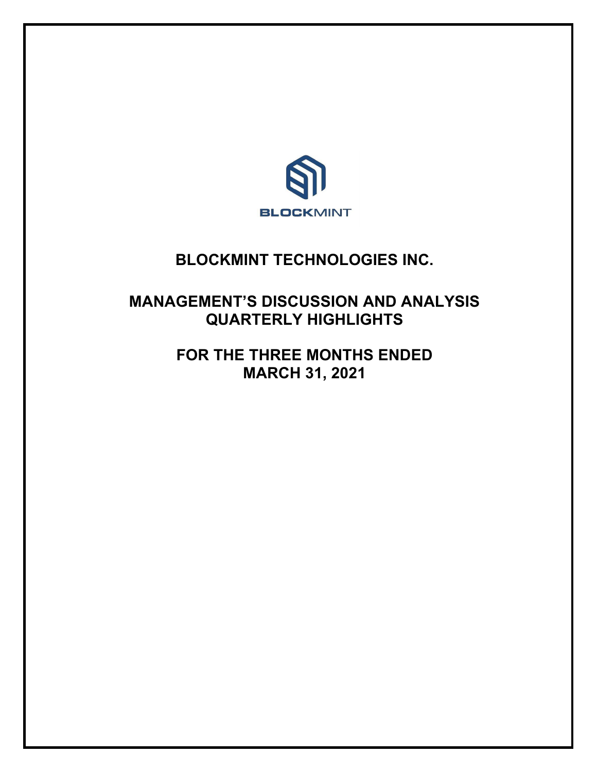

# **BLOCKMINT TECHNOLOGIES INC.**

# **MANAGEMENT'S DISCUSSION AND ANALYSIS QUARTERLY HIGHLIGHTS**

**FOR THE THREE MONTHS ENDED MARCH 31, 2021**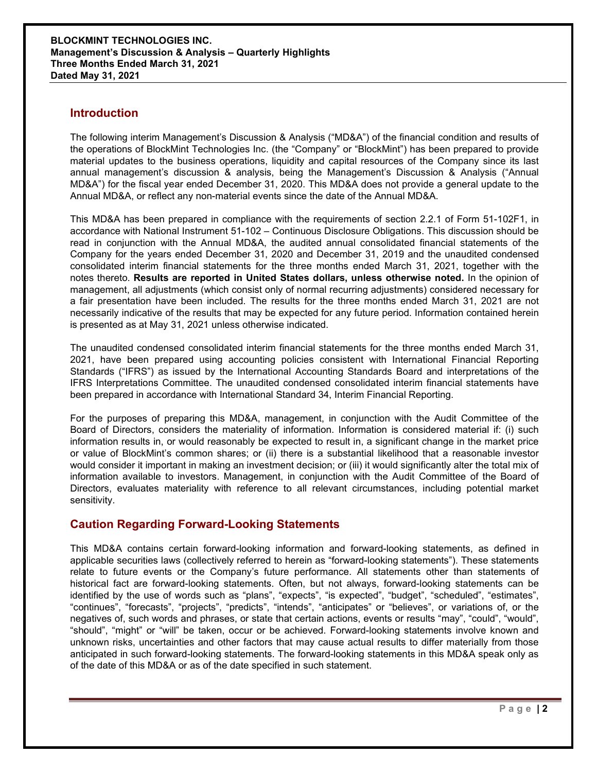### **Introduction**

The following interim Management's Discussion & Analysis ("MD&A") of the financial condition and results of the operations of BlockMint Technologies Inc. (the "Company" or "BlockMint") has been prepared to provide material updates to the business operations, liquidity and capital resources of the Company since its last annual management's discussion & analysis, being the Management's Discussion & Analysis ("Annual MD&A") for the fiscal year ended December 31, 2020. This MD&A does not provide a general update to the Annual MD&A, or reflect any non-material events since the date of the Annual MD&A.

This MD&A has been prepared in compliance with the requirements of section 2.2.1 of Form 51-102F1, in accordance with National Instrument 51-102 – Continuous Disclosure Obligations. This discussion should be read in conjunction with the Annual MD&A, the audited annual consolidated financial statements of the Company for the years ended December 31, 2020 and December 31, 2019 and the unaudited condensed consolidated interim financial statements for the three months ended March 31, 2021, together with the notes thereto. **Results are reported in United States dollars, unless otherwise noted.** In the opinion of management, all adjustments (which consist only of normal recurring adjustments) considered necessary for a fair presentation have been included. The results for the three months ended March 31, 2021 are not necessarily indicative of the results that may be expected for any future period. Information contained herein is presented as at May 31, 2021 unless otherwise indicated.

The unaudited condensed consolidated interim financial statements for the three months ended March 31, 2021, have been prepared using accounting policies consistent with International Financial Reporting Standards ("IFRS") as issued by the International Accounting Standards Board and interpretations of the IFRS Interpretations Committee. The unaudited condensed consolidated interim financial statements have been prepared in accordance with International Standard 34, Interim Financial Reporting.

For the purposes of preparing this MD&A, management, in conjunction with the Audit Committee of the Board of Directors, considers the materiality of information. Information is considered material if: (i) such information results in, or would reasonably be expected to result in, a significant change in the market price or value of BlockMint's common shares; or (ii) there is a substantial likelihood that a reasonable investor would consider it important in making an investment decision; or (iii) it would significantly alter the total mix of information available to investors. Management, in conjunction with the Audit Committee of the Board of Directors, evaluates materiality with reference to all relevant circumstances, including potential market sensitivity.

# **Caution Regarding Forward-Looking Statements**

This MD&A contains certain forward-looking information and forward-looking statements, as defined in applicable securities laws (collectively referred to herein as "forward-looking statements"). These statements relate to future events or the Company's future performance. All statements other than statements of historical fact are forward-looking statements. Often, but not always, forward-looking statements can be identified by the use of words such as "plans", "expects", "is expected", "budget", "scheduled", "estimates", "continues", "forecasts", "projects", "predicts", "intends", "anticipates" or "believes", or variations of, or the negatives of, such words and phrases, or state that certain actions, events or results "may", "could", "would", "should", "might" or "will" be taken, occur or be achieved. Forward-looking statements involve known and unknown risks, uncertainties and other factors that may cause actual results to differ materially from those anticipated in such forward-looking statements. The forward-looking statements in this MD&A speak only as of the date of this MD&A or as of the date specified in such statement.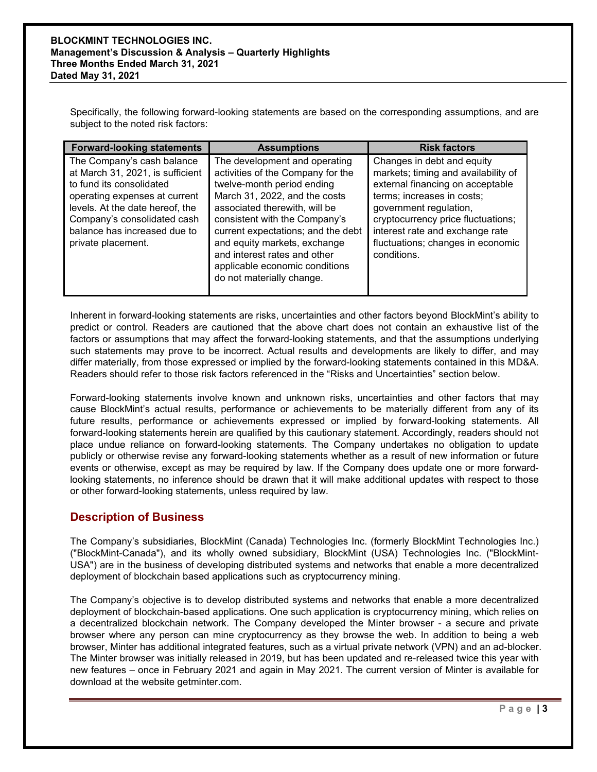Specifically, the following forward-looking statements are based on the corresponding assumptions, and are subject to the noted risk factors:

| <b>Forward-looking statements</b>                                                                                                                                                                                                                   | <b>Assumptions</b>                                                                                                                                                                                                                                                                                                                                                       | <b>Risk factors</b>                                                                                                                                                                                                                                                                        |
|-----------------------------------------------------------------------------------------------------------------------------------------------------------------------------------------------------------------------------------------------------|--------------------------------------------------------------------------------------------------------------------------------------------------------------------------------------------------------------------------------------------------------------------------------------------------------------------------------------------------------------------------|--------------------------------------------------------------------------------------------------------------------------------------------------------------------------------------------------------------------------------------------------------------------------------------------|
| The Company's cash balance<br>at March 31, 2021, is sufficient<br>to fund its consolidated<br>operating expenses at current<br>levels. At the date hereof, the<br>Company's consolidated cash<br>balance has increased due to<br>private placement. | The development and operating<br>activities of the Company for the<br>twelve-month period ending<br>March 31, 2022, and the costs<br>associated therewith, will be<br>consistent with the Company's<br>current expectations; and the debt<br>and equity markets, exchange<br>and interest rates and other<br>applicable economic conditions<br>do not materially change. | Changes in debt and equity<br>markets; timing and availability of<br>external financing on acceptable<br>terms; increases in costs;<br>government regulation,<br>cryptocurrency price fluctuations;<br>interest rate and exchange rate<br>fluctuations; changes in economic<br>conditions. |

Inherent in forward-looking statements are risks, uncertainties and other factors beyond BlockMint's ability to predict or control. Readers are cautioned that the above chart does not contain an exhaustive list of the factors or assumptions that may affect the forward-looking statements, and that the assumptions underlying such statements may prove to be incorrect. Actual results and developments are likely to differ, and may differ materially, from those expressed or implied by the forward-looking statements contained in this MD&A. Readers should refer to those risk factors referenced in the "Risks and Uncertainties" section below.

Forward-looking statements involve known and unknown risks, uncertainties and other factors that may cause BlockMint's actual results, performance or achievements to be materially different from any of its future results, performance or achievements expressed or implied by forward-looking statements. All forward-looking statements herein are qualified by this cautionary statement. Accordingly, readers should not place undue reliance on forward-looking statements. The Company undertakes no obligation to update publicly or otherwise revise any forward-looking statements whether as a result of new information or future events or otherwise, except as may be required by law. If the Company does update one or more forwardlooking statements, no inference should be drawn that it will make additional updates with respect to those or other forward-looking statements, unless required by law.

# **Description of Business**

The Company's subsidiaries, BlockMint (Canada) Technologies Inc. (formerly BlockMint Technologies Inc.) ("BlockMint-Canada"), and its wholly owned subsidiary, BlockMint (USA) Technologies Inc. ("BlockMint-USA") are in the business of developing distributed systems and networks that enable a more decentralized deployment of blockchain based applications such as cryptocurrency mining.

The Company's objective is to develop distributed systems and networks that enable a more decentralized deployment of blockchain-based applications. One such application is cryptocurrency mining, which relies on a decentralized blockchain network. The Company developed the Minter browser - a secure and private browser where any person can mine cryptocurrency as they browse the web. In addition to being a web browser, Minter has additional integrated features, such as a virtual private network (VPN) and an ad-blocker. The Minter browser was initially released in 2019, but has been updated and re-released twice this year with new features – once in February 2021 and again in May 2021. The current version of Minter is available for download at the website getminter.com.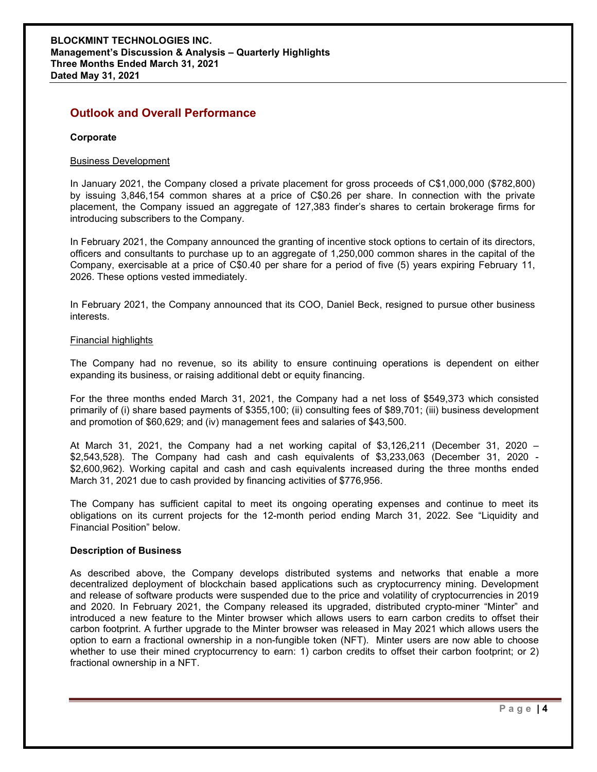# **Outlook and Overall Performance**

### **Corporate**

### Business Development

In January 2021, the Company closed a private placement for gross proceeds of C\$1,000,000 (\$782,800) by issuing 3,846,154 common shares at a price of C\$0.26 per share. In connection with the private placement, the Company issued an aggregate of 127,383 finder's shares to certain brokerage firms for introducing subscribers to the Company.

In February 2021, the Company announced the granting of incentive stock options to certain of its directors, officers and consultants to purchase up to an aggregate of 1,250,000 common shares in the capital of the Company, exercisable at a price of C\$0.40 per share for a period of five (5) years expiring February 11, 2026. These options vested immediately.

In February 2021, the Company announced that its COO, Daniel Beck, resigned to pursue other business interests.

### Financial highlights

The Company had no revenue, so its ability to ensure continuing operations is dependent on either expanding its business, or raising additional debt or equity financing.

For the three months ended March 31, 2021, the Company had a net loss of \$549,373 which consisted primarily of (i) share based payments of \$355,100; (ii) consulting fees of \$89,701; (iii) business development and promotion of \$60,629; and (iv) management fees and salaries of \$43,500.

At March 31, 2021, the Company had a net working capital of \$3,126,211 (December 31, 2020 – \$2,543,528). The Company had cash and cash equivalents of \$3,233,063 (December 31, 2020 - \$2,600,962). Working capital and cash and cash equivalents increased during the three months ended March 31, 2021 due to cash provided by financing activities of \$776,956.

The Company has sufficient capital to meet its ongoing operating expenses and continue to meet its obligations on its current projects for the 12-month period ending March 31, 2022. See "Liquidity and Financial Position" below.

### **Description of Business**

As described above, the Company develops distributed systems and networks that enable a more decentralized deployment of blockchain based applications such as cryptocurrency mining. Development and release of software products were suspended due to the price and volatility of cryptocurrencies in 2019 and 2020. In February 2021, the Company released its upgraded, distributed crypto-miner "Minter" and introduced a new feature to the Minter browser which allows users to earn carbon credits to offset their carbon footprint. A further upgrade to the Minter browser was released in May 2021 which allows users the option to earn a fractional ownership in a non-fungible token (NFT). Minter users are now able to choose whether to use their mined cryptocurrency to earn: 1) carbon credits to offset their carbon footprint; or 2) fractional ownership in a NFT.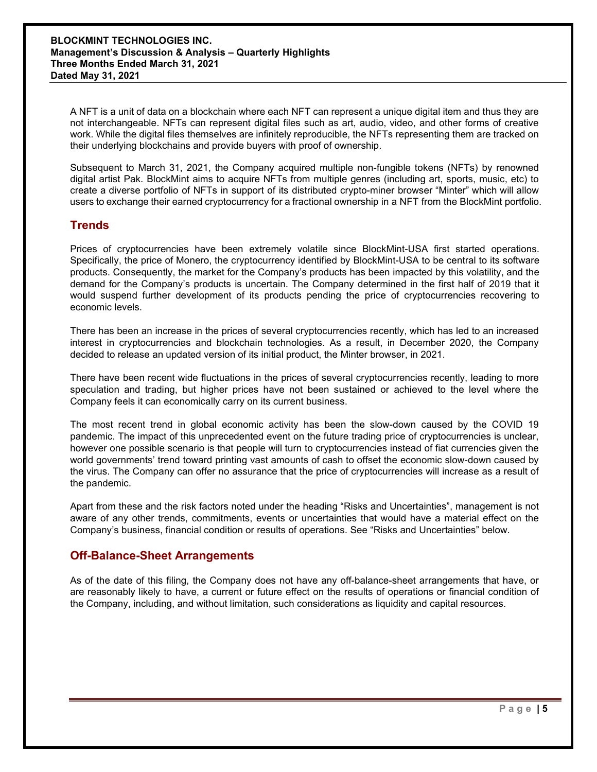A NFT is a unit of data on a blockchain where each NFT can represent a unique digital item and thus they are not interchangeable. NFTs can represent digital files such as art, audio, video, and other forms of creative work. While the digital files themselves are infinitely reproducible, the NFTs representing them are tracked on their underlying blockchains and provide buyers with proof of ownership.

Subsequent to March 31, 2021, the Company acquired multiple non-fungible tokens (NFTs) by renowned digital artist Pak. BlockMint aims to acquire NFTs from multiple genres (including art, sports, music, etc) to create a diverse portfolio of NFTs in support of its distributed crypto-miner browser "Minter" which will allow users to exchange their earned cryptocurrency for a fractional ownership in a NFT from the BlockMint portfolio.

# **Trends**

Prices of cryptocurrencies have been extremely volatile since BlockMint-USA first started operations. Specifically, the price of Monero, the cryptocurrency identified by BlockMint-USA to be central to its software products. Consequently, the market for the Company's products has been impacted by this volatility, and the demand for the Company's products is uncertain. The Company determined in the first half of 2019 that it would suspend further development of its products pending the price of cryptocurrencies recovering to economic levels.

There has been an increase in the prices of several cryptocurrencies recently, which has led to an increased interest in cryptocurrencies and blockchain technologies. As a result, in December 2020, the Company decided to release an updated version of its initial product, the Minter browser, in 2021.

There have been recent wide fluctuations in the prices of several cryptocurrencies recently, leading to more speculation and trading, but higher prices have not been sustained or achieved to the level where the Company feels it can economically carry on its current business.

The most recent trend in global economic activity has been the slow-down caused by the COVID 19 pandemic. The impact of this unprecedented event on the future trading price of cryptocurrencies is unclear, however one possible scenario is that people will turn to cryptocurrencies instead of fiat currencies given the world governments' trend toward printing vast amounts of cash to offset the economic slow-down caused by the virus. The Company can offer no assurance that the price of cryptocurrencies will increase as a result of the pandemic.

Apart from these and the risk factors noted under the heading "Risks and Uncertainties", management is not aware of any other trends, commitments, events or uncertainties that would have a material effect on the Company's business, financial condition or results of operations. See "Risks and Uncertainties" below.

# **Off-Balance-Sheet Arrangements**

As of the date of this filing, the Company does not have any off-balance-sheet arrangements that have, or are reasonably likely to have, a current or future effect on the results of operations or financial condition of the Company, including, and without limitation, such considerations as liquidity and capital resources.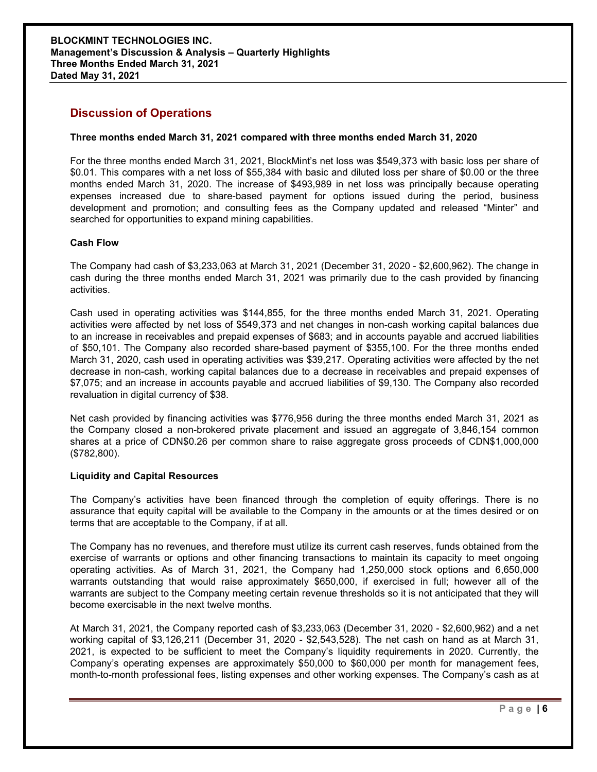# **Discussion of Operations**

### **Three months ended March 31, 2021 compared with three months ended March 31, 2020**

For the three months ended March 31, 2021, BlockMint's net loss was \$549,373 with basic loss per share of \$0.01. This compares with a net loss of \$55,384 with basic and diluted loss per share of \$0.00 or the three months ended March 31, 2020. The increase of \$493,989 in net loss was principally because operating expenses increased due to share-based payment for options issued during the period, business development and promotion; and consulting fees as the Company updated and released "Minter" and searched for opportunities to expand mining capabilities.

### **Cash Flow**

The Company had cash of \$3,233,063 at March 31, 2021 (December 31, 2020 - \$2,600,962). The change in cash during the three months ended March 31, 2021 was primarily due to the cash provided by financing activities.

Cash used in operating activities was \$144,855, for the three months ended March 31, 2021. Operating activities were affected by net loss of \$549,373 and net changes in non-cash working capital balances due to an increase in receivables and prepaid expenses of \$683; and in accounts payable and accrued liabilities of \$50,101. The Company also recorded share-based payment of \$355,100. For the three months ended March 31, 2020, cash used in operating activities was \$39,217. Operating activities were affected by the net decrease in non-cash, working capital balances due to a decrease in receivables and prepaid expenses of \$7,075; and an increase in accounts payable and accrued liabilities of \$9,130. The Company also recorded revaluation in digital currency of \$38.

Net cash provided by financing activities was \$776,956 during the three months ended March 31, 2021 as the Company closed a non-brokered private placement and issued an aggregate of 3,846,154 common shares at a price of CDN\$0.26 per common share to raise aggregate gross proceeds of CDN\$1,000,000 (\$782,800).

### **Liquidity and Capital Resources**

The Company's activities have been financed through the completion of equity offerings. There is no assurance that equity capital will be available to the Company in the amounts or at the times desired or on terms that are acceptable to the Company, if at all.

The Company has no revenues, and therefore must utilize its current cash reserves, funds obtained from the exercise of warrants or options and other financing transactions to maintain its capacity to meet ongoing operating activities. As of March 31, 2021, the Company had 1,250,000 stock options and 6,650,000 warrants outstanding that would raise approximately \$650,000, if exercised in full; however all of the warrants are subject to the Company meeting certain revenue thresholds so it is not anticipated that they will become exercisable in the next twelve months.

At March 31, 2021, the Company reported cash of \$3,233,063 (December 31, 2020 - \$2,600,962) and a net working capital of \$3,126,211 (December 31, 2020 - \$2,543,528). The net cash on hand as at March 31, 2021, is expected to be sufficient to meet the Company's liquidity requirements in 2020. Currently, the Company's operating expenses are approximately \$50,000 to \$60,000 per month for management fees, month-to-month professional fees, listing expenses and other working expenses. The Company's cash as at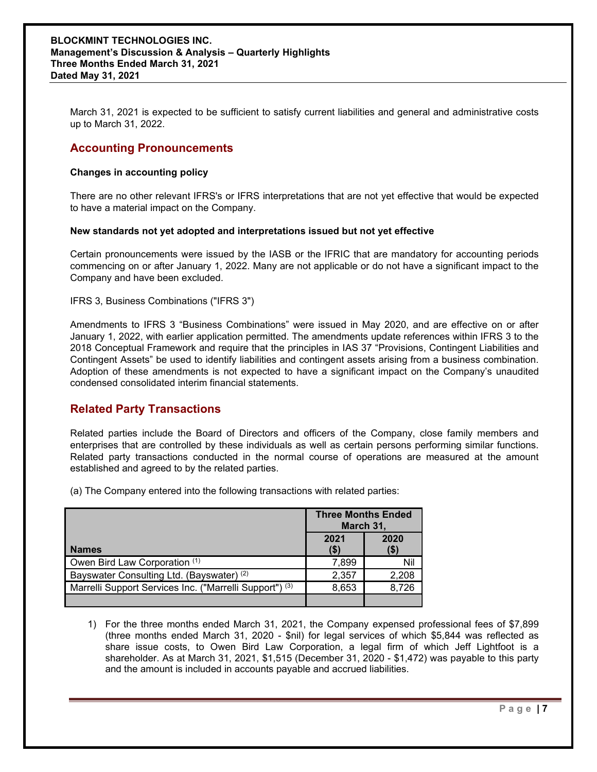March 31, 2021 is expected to be sufficient to satisfy current liabilities and general and administrative costs up to March 31, 2022.

### **Accounting Pronouncements**

### **Changes in accounting policy**

There are no other relevant IFRS's or IFRS interpretations that are not yet effective that would be expected to have a material impact on the Company.

### **New standards not yet adopted and interpretations issued but not yet effective**

Certain pronouncements were issued by the IASB or the IFRIC that are mandatory for accounting periods commencing on or after January 1, 2022. Many are not applicable or do not have a significant impact to the Company and have been excluded.

IFRS 3, Business Combinations ("IFRS 3")

Amendments to IFRS 3 "Business Combinations" were issued in May 2020, and are effective on or after January 1, 2022, with earlier application permitted. The amendments update references within IFRS 3 to the 2018 Conceptual Framework and require that the principles in IAS 37 "Provisions, Contingent Liabilities and Contingent Assets" be used to identify liabilities and contingent assets arising from a business combination. Adoption of these amendments is not expected to have a significant impact on the Company's unaudited condensed consolidated interim financial statements.

# **Related Party Transactions**

Related parties include the Board of Directors and officers of the Company, close family members and enterprises that are controlled by these individuals as well as certain persons performing similar functions. Related party transactions conducted in the normal course of operations are measured at the amount established and agreed to by the related parties.

(a) The Company entered into the following transactions with related parties:

|                                                                    | <b>Three Months Ended</b><br>March 31, |                 |  |
|--------------------------------------------------------------------|----------------------------------------|-----------------|--|
| <b>Names</b>                                                       | 2021<br>$($ \$)                        | 2020<br>$($ \$) |  |
| Owen Bird Law Corporation (1)                                      | 7,899                                  | Nil             |  |
| Bayswater Consulting Ltd. (Bayswater) (2)                          | 2,357                                  | 2,208           |  |
| Marrelli Support Services Inc. ("Marrelli Support") <sup>(3)</sup> | 8,653                                  | 8,726           |  |
|                                                                    |                                        |                 |  |

1) For the three months ended March 31, 2021, the Company expensed professional fees of \$7,899 (three months ended March 31, 2020 - \$nil) for legal services of which \$5,844 was reflected as share issue costs, to Owen Bird Law Corporation, a legal firm of which Jeff Lightfoot is a shareholder. As at March 31, 2021, \$1,515 (December 31, 2020 - \$1,472) was payable to this party and the amount is included in accounts payable and accrued liabilities.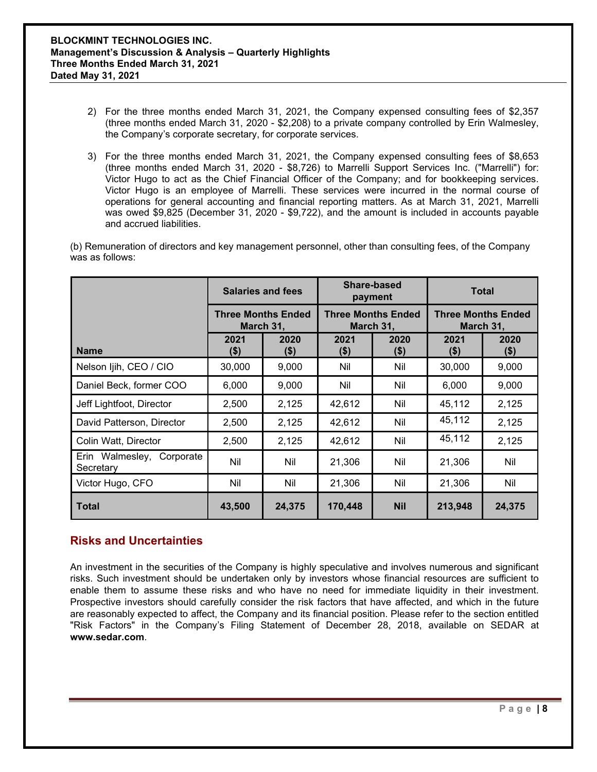- 2) For the three months ended March 31, 2021, the Company expensed consulting fees of \$2,357 (three months ended March 31, 2020 - \$2,208) to a private company controlled by Erin Walmesley, the Company's corporate secretary, for corporate services.
- 3) For the three months ended March 31, 2021, the Company expensed consulting fees of \$8,653 (three months ended March 31, 2020 - \$8,726) to Marrelli Support Services Inc. ("Marrelli") for: Victor Hugo to act as the Chief Financial Officer of the Company; and for bookkeeping services. Victor Hugo is an employee of Marrelli. These services were incurred in the normal course of operations for general accounting and financial reporting matters. As at March 31, 2021, Marrelli was owed \$9,825 (December 31, 2020 - \$9,722), and the amount is included in accounts payable and accrued liabilities.

(b) Remuneration of directors and key management personnel, other than consulting fees, of the Company was as follows:

|                                        | <b>Salaries and fees</b><br><b>Three Months Ended</b><br>March 31, |                 | Share-based<br>payment                 |                 | <b>Total</b>                           |                 |
|----------------------------------------|--------------------------------------------------------------------|-----------------|----------------------------------------|-----------------|----------------------------------------|-----------------|
|                                        |                                                                    |                 | <b>Three Months Ended</b><br>March 31, |                 | <b>Three Months Ended</b><br>March 31, |                 |
| <b>Name</b>                            | 2021<br>(\$)                                                       | 2020<br>$($ \$) | 2021<br>$($ \$)                        | 2020<br>$($ \$) | 2021<br>$($ \$)                        | 2020<br>$($ \$) |
| Nelson Ijih, CEO / CIO                 | 30,000                                                             | 9,000           | Nil                                    | Nil             | 30,000                                 | 9,000           |
| Daniel Beck, former COO                | 6,000                                                              | 9,000           | Nil                                    | Nil             | 6,000                                  | 9,000           |
| Jeff Lightfoot, Director               | 2,500                                                              | 2,125           | 42,612                                 | Nil             | 45,112                                 | 2,125           |
| David Patterson, Director              | 2,500                                                              | 2,125           | 42,612                                 | Nil             | 45,112                                 | 2,125           |
| Colin Watt, Director                   | 2,500                                                              | 2,125           | 42,612                                 | Nil             | 45,112                                 | 2,125           |
| Erin Walmesley, Corporate<br>Secretary | Nil                                                                | Nil             | 21,306                                 | Nil             | 21,306                                 | Nil             |
| Victor Hugo, CFO                       | Nil                                                                | Nil             | 21,306                                 | Nil             | 21,306                                 | Nil             |
| Total                                  | 43,500                                                             | 24,375          | 170,448                                | <b>Nil</b>      | 213,948                                | 24,375          |

# **Risks and Uncertainties**

An investment in the securities of the Company is highly speculative and involves numerous and significant risks. Such investment should be undertaken only by investors whose financial resources are sufficient to enable them to assume these risks and who have no need for immediate liquidity in their investment. Prospective investors should carefully consider the risk factors that have affected, and which in the future are reasonably expected to affect, the Company and its financial position. Please refer to the section entitled "Risk Factors" in the Company's Filing Statement of December 28, 2018, available on SEDAR at **www.sedar.com**.